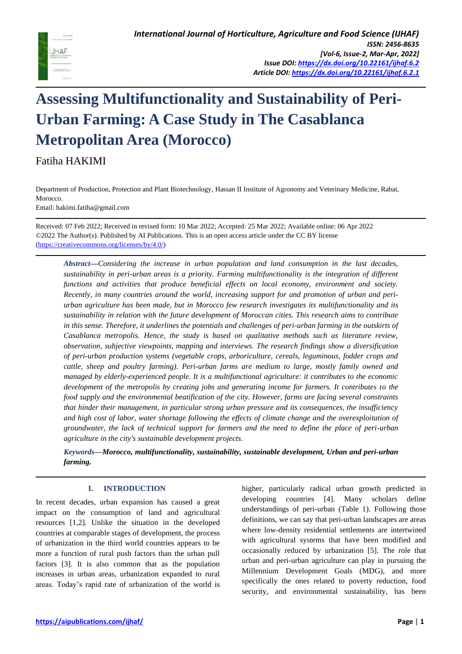

# **Assessing Multifunctionality and Sustainability of Peri-Urban Farming: A Case Study in The Casablanca Metropolitan Area (Morocco)**

Fatiha HAKIMI

Department of Production, Protection and Plant Biotechnology, Hassan II Institute of Agronomy and Veterinary Medicine, Rabat, Morocco.

Email: hakimi.fatiha@gmail.com

Received: 07 Feb 2022; Received in revised form: 10 Mar 2022; Accepted: 25 Mar 2022; Available online: 06 Apr 2022 ©2022 The Author(s). Published by AI Publications. This is an open access article under the CC BY license [\(https://creativecommons.org/licenses/by/4.0/\)](https://creativecommons.org/licenses/by/4.0/)

*Abstract***—***Considering the increase in urban population and land consumption in the last decades, sustainability in peri-urban areas is a priority. Farming multifunctionality is the integration of different functions and activities that produce beneficial effects on local economy, environment and society. Recently, in many countries around the world, increasing support for and promotion of urban and periurban agriculture has been made, but in Morocco few research investigates its multifunctionality and its sustainability in relation with the future development of Moroccan cities. This research aims to contribute in this sense. Therefore, it underlines the potentials and challenges of peri-urban farming in the outskirts of Casablanca metropolis. Hence, the study is based on qualitative methods such as literature review, observation, subjective viewpoints, mapping and interviews. The research findings show a diversification of peri-urban production systems (vegetable crops, arboriculture, cereals, leguminous, fodder crops and cattle, sheep and poultry farming). Peri-urban farms are medium to large, mostly family owned and managed by elderly-experienced people. It is a multifunctional agriculture: it contributes to the economic development of the metropolis by creating jobs and generating income for farmers. It contributes to the food supply and the environmental beatification of the city. However, farms are facing several constraints that hinder their management, in particular strong urban pressure and its consequences, the insufficiency and high cost of labor, water shortage following the effects of climate change and the overexploitation of groundwater, the lack of technical support for farmers and the need to define the place of peri-urban agriculture in the city's sustainable development projects.*

*Keywords***—***Morocco, multifunctionality, sustainability, sustainable development, Urban and peri-urban farming.*

## **I. INTRODUCTION**

In recent decades, urban expansion has caused a great impact on the consumption of land and agricultural resources [1,2]. Unlike the situation in the developed countries at comparable stages of development, the process of urbanization in the third world countries appears to be more a function of rural push factors than the urban pull factors [3]. It is also common that as the population increases in urban areas, urbanization expanded to rural areas. Today's rapid rate of urbanization of the world is higher, particularly radical urban growth predicted in developing countries [4]. Many scholars define understandings of peri-urban (Table 1). Following those definitions, we can say that peri-urban landscapes are areas where low-density residential settlements are intertwined with agricultural systems that have been modified and occasionally reduced by urbanization [5]. The role that urban and peri-urban agriculture can play in pursuing the Millennium Development Goals (MDG), and more specifically the ones related to poverty reduction, food security, and environmental sustainability, has been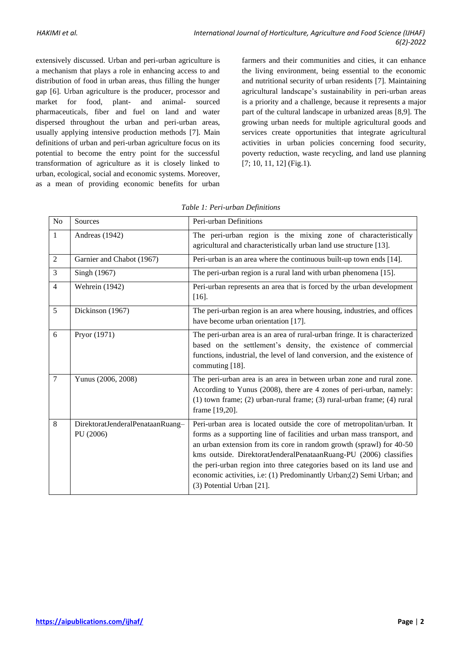extensively discussed. Urban and peri-urban agriculture is a mechanism that plays a role in enhancing access to and distribution of food in urban areas, thus filling the hunger gap [6]. Urban agriculture is the producer, processor and market for food, plant- and animal- sourced pharmaceuticals, fiber and fuel on land and water dispersed throughout the urban and peri-urban areas, usually applying intensive production methods [7]. Main definitions of urban and peri-urban agriculture focus on its potential to become the entry point for the successful transformation of agriculture as it is closely linked to urban, ecological, social and economic systems. Moreover, as a mean of providing economic benefits for urban farmers and their communities and cities, it can enhance the living environment, being essential to the economic and nutritional security of urban residents [7]. Maintaining agricultural landscape's sustainability in peri-urban areas is a priority and a challenge, because it represents a major part of the cultural landscape in urbanized areas [8,9]. The growing urban needs for multiple agricultural goods and services create opportunities that integrate agricultural activities in urban policies concerning food security, poverty reduction, waste recycling, and land use planning [7; 10, 11, 12] (Fig.1).

| N <sub>o</sub> | Sources                                       | Peri-urban Definitions                                                                                                                                                                                                                                                                                                                                                                                                                                                       |  |
|----------------|-----------------------------------------------|------------------------------------------------------------------------------------------------------------------------------------------------------------------------------------------------------------------------------------------------------------------------------------------------------------------------------------------------------------------------------------------------------------------------------------------------------------------------------|--|
| $\mathbf{1}$   | Andreas (1942)                                | The peri-urban region is the mixing zone of characteristically<br>agricultural and characteristically urban land use structure [13].                                                                                                                                                                                                                                                                                                                                         |  |
| 2              | Garnier and Chabot (1967)                     | Peri-urban is an area where the continuous built-up town ends [14].                                                                                                                                                                                                                                                                                                                                                                                                          |  |
| $\overline{3}$ | Singh (1967)                                  | The peri-urban region is a rural land with urban phenomena [15].                                                                                                                                                                                                                                                                                                                                                                                                             |  |
| $\overline{4}$ | Wehrein (1942)                                | Peri-urban represents an area that is forced by the urban development<br>$[16]$ .                                                                                                                                                                                                                                                                                                                                                                                            |  |
| $\overline{5}$ | Dickinson (1967)                              | The peri-urban region is an area where housing, industries, and offices<br>have become urban orientation [17].                                                                                                                                                                                                                                                                                                                                                               |  |
| 6              | Pryor (1971)                                  | The peri-urban area is an area of rural-urban fringe. It is characterized<br>based on the settlement's density, the existence of commercial<br>functions, industrial, the level of land conversion, and the existence of<br>commuting [18].                                                                                                                                                                                                                                  |  |
| $\overline{7}$ | Yunus (2006, 2008)                            | The peri-urban area is an area in between urban zone and rural zone.<br>According to Yunus (2008), there are 4 zones of peri-urban, namely:<br>(1) town frame; (2) urban-rural frame; (3) rural-urban frame; (4) rural<br>frame [19,20].                                                                                                                                                                                                                                     |  |
| 8              | DirektoratJenderalPenataanRuang-<br>PU (2006) | Peri-urban area is located outside the core of metropolitan/urban. It<br>forms as a supporting line of facilities and urban mass transport, and<br>an urban extension from its core in random growth (sprawl) for 40-50<br>kms outside. DirektoratJenderalPenataanRuang-PU (2006) classifies<br>the peri-urban region into three categories based on its land use and<br>economic activities, i.e: (1) Predominantly Urban; (2) Semi Urban; and<br>(3) Potential Urban [21]. |  |

|  |  | Table 1: Peri-urban Definitions |
|--|--|---------------------------------|
|--|--|---------------------------------|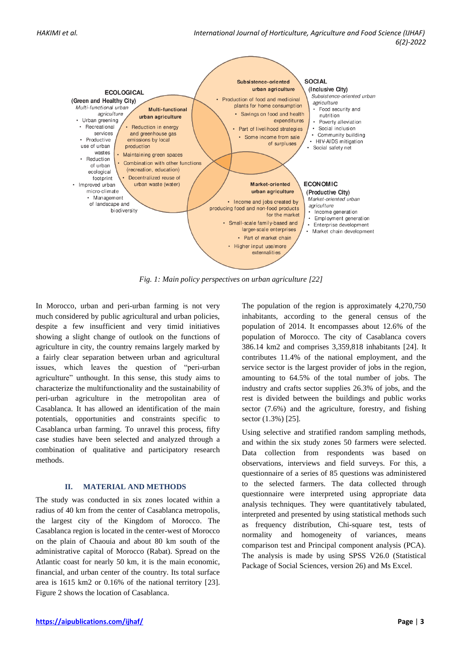

*Fig. 1: Main policy perspectives on urban agriculture [22]*

In Morocco, urban and peri-urban farming is not very much considered by public agricultural and urban policies, despite a few insufficient and very timid initiatives showing a slight change of outlook on the functions of agriculture in city, the country remains largely marked by a fairly clear separation between urban and agricultural issues, which leaves the question of "peri-urban agriculture" unthought. In this sense, this study aims to characterize the multifunctionality and the sustainability of peri-urban agriculture in the metropolitan area of Casablanca. It has allowed an identification of the main potentials, opportunities and constraints specific to Casablanca urban farming. To unravel this process, fifty case studies have been selected and analyzed through a combination of qualitative and participatory research methods.

### **II. MATERIAL AND METHODS**

The study was conducted in six zones located within a radius of 40 km from the center of Casablanca metropolis, the largest city of the Kingdom of Morocco. The Casablanca region is located in the center-west of Morocco on the plain of Chaouia and about 80 km south of the administrative capital of Morocco (Rabat). Spread on the Atlantic coast for nearly 50 km, it is the main economic, financial, and urban center of the country. Its total surface area is 1615 km2 or 0.16% of the national territory [23]. Figure 2 shows the location of Casablanca.

The population of the region is approximately 4,270,750 inhabitants, according to the general census of the population of 2014. It encompasses about 12.6% of the population of Morocco. The city of Casablanca covers 386.14 km2 and comprises 3,359,818 inhabitants [24]. It contributes 11.4% of the national employment, and the service sector is the largest provider of jobs in the region, amounting to 64.5% of the total number of jobs. The industry and crafts sector supplies 26.3% of jobs, and the rest is divided between the buildings and public works sector (7.6%) and the agriculture, forestry, and fishing sector (1.3%) [25].

Using selective and stratified random sampling methods, and within the six study zones 50 farmers were selected. Data collection from respondents was based on observations, interviews and field surveys. For this, a questionnaire of a series of 85 questions was administered to the selected farmers. The data collected through questionnaire were interpreted using appropriate data analysis techniques. They were quantitatively tabulated, interpreted and presented by using statistical methods such as frequency distribution, Chi-square test, tests of normality and homogeneity of variances, means comparison test and Principal component analysis (PCA). The analysis is made by using SPSS V26.0 (Statistical Package of Social Sciences, version 26) and Ms Excel.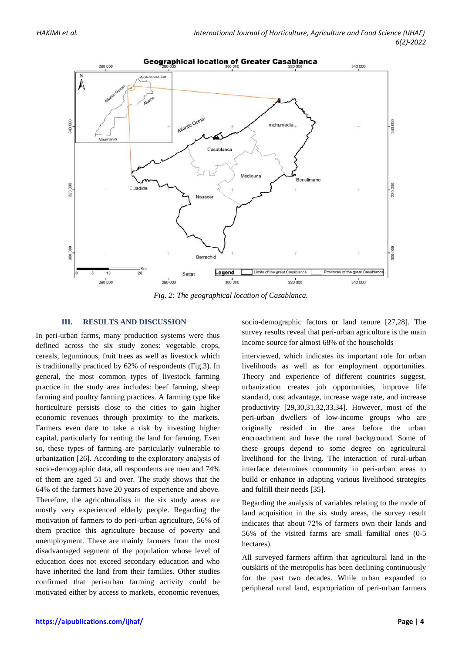

*Fig. 2: The geographical location of Casablanca.*

### **III. RESULTS AND DISCUSSION**

In peri-urban farms, many production systems were thus defined across the six study zones: vegetable crops, cereals, leguminous, fruit trees as well as livestock which is traditionally practiced by 62% of respondents (Fig.3). In general, the most common types of livestock farming practice in the study area includes: beef farming, sheep farming and poultry farming practices. A farming type like horticulture persists close to the cities to gain higher economic revenues through proximity to the markets. Farmers even dare to take a risk by investing higher capital, particularly for renting the land for farming. Even so, these types of farming are particularly vulnerable to urbanization [26]. According to the exploratory analysis of socio-demographic data, all respondents are men and 74% of them are aged 51 and over. The study shows that the 64% of the farmers have 20 years of experience and above. Therefore, the agriculturalists in the six study areas are mostly very experienced elderly people. Regarding the motivation of farmers to do peri-urban agriculture, 56% of them practice this agriculture because of poverty and unemployment. These are mainly farmers from the most disadvantaged segment of the population whose level of education does not exceed secondary education and who have inherited the land from their families. Other studies confirmed that peri-urban farming activity could be motivated either by access to markets, economic revenues,

socio-demographic factors or land tenure [27,28]. The survey results reveal that peri-urban agriculture is the main income source for almost 68% of the households

interviewed, which indicates its important role for urban livelihoods as well as for employment opportunities. Theory and experience of different countries suggest, urbanization creates job opportunities, improve life standard, cost advantage, increase wage rate, and increase productivity [29,30,31,32,33,34]. However, most of the peri-urban dwellers of low-income groups who are originally resided in the area before the urban encroachment and have the rural background. Some of these groups depend to some degree on agricultural livelihood for the living. The interaction of rural-urban interface determines community in peri-urban areas to build or enhance in adapting various livelihood strategies and fulfill their needs [35].

Regarding the analysis of variables relating to the mode of land acquisition in the six study areas, the survey result indicates that about 72% of farmers own their lands and 56% of the visited farms are small familial ones (0-5 hectares).

All surveyed farmers affirm that agricultural land in the outskirts of the metropolis has been declining continuously for the past two decades. While urban expanded to peripheral rural land, expropriation of peri-urban farmers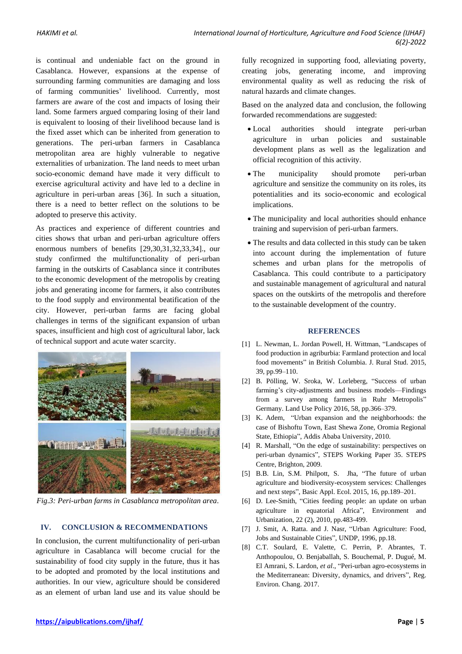is continual and undeniable fact on the ground in Casablanca. However, expansions at the expense of surrounding farming communities are damaging and loss of farming communities' livelihood. Currently, most farmers are aware of the cost and impacts of losing their land. Some farmers argued comparing losing of their land is equivalent to loosing of their livelihood because land is the fixed asset which can be inherited from generation to generations. The peri-urban farmers in Casablanca metropolitan area are highly vulnerable to negative externalities of urbanization. The land needs to meet urban socio-economic demand have made it very difficult to exercise agricultural activity and have led to a decline in agriculture in peri-urban areas [36]. In such a situation, there is a need to better reflect on the solutions to be adopted to preserve this activity.

As practices and experience of different countries and cities shows that urban and peri-urban agriculture offers enormous numbers of benefits [29,30,31,32,33,34]., our study confirmed the multifunctionality of peri-urban farming in the outskirts of Casablanca since it contributes to the economic development of the metropolis by creating jobs and generating income for farmers, it also contributes to the food supply and environmental beatification of the city. However, peri-urban farms are facing global challenges in terms of the significant expansion of urban spaces, insufficient and high cost of agricultural labor, lack of technical support and acute water scarcity.



*Fig.3: Peri-urban farms in Casablanca metropolitan area.*

### **IV. CONCLUSION & RECOMMENDATIONS**

In conclusion, the current multifunctionality of peri-urban agriculture in Casablanca will become crucial for the sustainability of food city supply in the future, thus it has to be adopted and promoted by the local institutions and authorities. In our view, agriculture should be considered as an element of urban land use and its value should be fully recognized in supporting food, alleviating poverty, creating jobs, generating income, and improving environmental quality as well as reducing the risk of natural hazards and climate changes.

Based on the analyzed data and conclusion, the following forwarded recommendations are suggested:

- Local authorities should integrate peri-urban agriculture in urban policies and sustainable development plans as well as the legalization and official recognition of this activity.
- The municipality should promote peri-urban agriculture and sensitize the community on its roles, its potentialities and its socio-economic and ecological implications.
- The municipality and local authorities should enhance training and supervision of peri-urban farmers.
- The results and data collected in this study can be taken into account during the implementation of future schemes and urban plans for the metropolis of Casablanca. This could contribute to a participatory and sustainable management of agricultural and natural spaces on the outskirts of the metropolis and therefore to the sustainable development of the country.

#### **REFERENCES**

- [1] L. Newman, L. Jordan Powell, H. Wittman, "Landscapes of food production in agriburbia: Farmland protection and local food movements" in British Columbia. J. Rural Stud. 2015, 39, pp.99–110.
- [2] B. Pölling, W. Sroka, W. Lorleberg, "Success of urban farming's city-adjustments and business models—Findings from a survey among farmers in Ruhr Metropolis" Germany. Land Use Policy 2016, 58, pp.366–379.
- [3] K. Adem, "Urban expansion and the neighborhoods: the case of Bishoftu Town, East Shewa Zone, Oromia Regional State, Ethiopia", Addis Ababa University, 2010.
- [4] R. Marshall, "On the edge of sustainability: perspectives on peri-urban dynamics", STEPS Working Paper 35. STEPS Centre, Brighton, 2009.
- [5] B.B. Lin, S.M. Philpott, S. Jha, "The future of urban agriculture and biodiversity-ecosystem services: Challenges and next steps", Basic Appl. Ecol. 2015, 16, pp.189–201.
- [6] D. Lee-Smith, "Cities feeding people: an update on urban agriculture in equatorial Africa", Environment and Urbanization, 22 (2), 2010, pp.483-499.
- [7] J. Smit, A. Ratta. and J. Nasr, "Urban Agriculture: Food, Jobs and Sustainable Cities", UNDP, 1996, pp.18.
- [8] C.T. Soulard, E. Valette, C. Perrin, P. Abrantes, T. Anthopoulou, O. Benjaballah, S. Bouchemal, P. Dugué, M. El Amrani, S. Lardon, *et al*., "Peri-urban agro-ecosystems in the Mediterranean: Diversity, dynamics, and drivers", Reg. Environ. Chang. 2017.